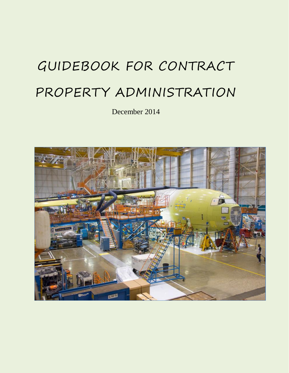# GUIDEBOOK FOR CONTRACT PROPERTY ADMINISTRATION

December 2014

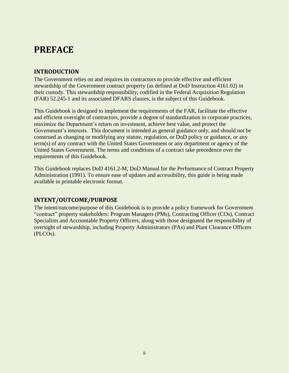# <span id="page-1-1"></span><span id="page-1-0"></span>**PREFACE**

# **INTRODUCTION**

The Government relies on and requires its contractors to provide effective and efficient stewardship of the Government contract property (as defined at DoD Instruction 4161.02) in their custody. This stewardship responsibility, codified in the Federal Acquisition Regulation (FAR) [52.245-1](https://www.acquisition.gov/far/current/html/52_245.html) and its associated DFARS clauses, is the subject of this Guidebook.

This Guidebook is designed to implement the requirements of the FAR, facilitate the effective and efficient oversight of contractors, provide a degree of standardization in corporate practices, maximize the Department's return on investment, achieve best value, and protect the Government's interests. This document is intended as general guidance only, and should not be construed as changing or modifying any statute, regulation, or DoD policy or guidance, or any term(s) of any contract with the United States Government or any department or agency of the United States Government. The terms and conditions of a contract take precedence over the requirements of this Guidebook.

This Guidebook replaces DoD 4161.2-M, DoD Manual for the Performance of Contract Property Administration (1991). To ensure ease of updates and accessibility, this guide is being made available in printable electronic format.

# <span id="page-1-2"></span>**INTENT/OUTCOME/PURPOSE**

The intent/outcome/purpose of this Guidebook is to provide a policy framework for Government "contract" property stakeholders: Program Managers (PMs), Contracting Officer (COs), Contract Specialists and Accountable Property Officers, along with those designated the responsibility of oversight of stewardship, including Property Administrators (PAs) and Plant Clearance Officers (PLCOs).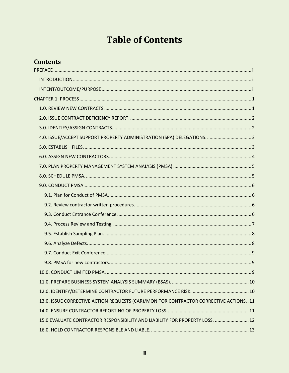# **Table of Contents**

# **Contents**

| 13.0. ISSUE CORRECTIVE ACTION REQUESTS (CAR)/MONITOR CONTRACTOR CORRECTIVE ACTIONS11 |
|--------------------------------------------------------------------------------------|
|                                                                                      |
| 15.0 EVALUATE CONTRACTOR RESPONSIBILITY AND LIABILITY FOR PROPERTY LOSS.  12         |
|                                                                                      |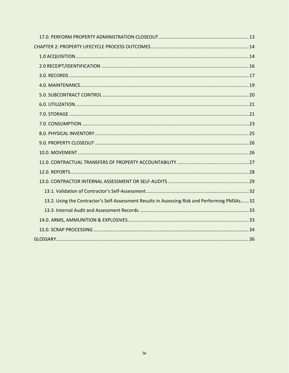| 13.2. Using the Contractor's Self-Assessment Results in Assessing Risk and Performing PMSAs 32 |  |
|------------------------------------------------------------------------------------------------|--|
|                                                                                                |  |
|                                                                                                |  |
|                                                                                                |  |
|                                                                                                |  |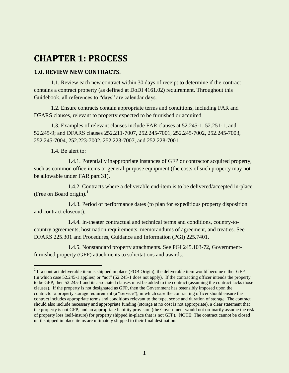# <span id="page-4-0"></span>**CHAPTER 1: PROCESS**

#### <span id="page-4-1"></span>**1.0. REVIEW NEW CONTRACTS.**

1.1. Review each new contract within 30 days of receipt to determine if the contract contains a contract property (as defined at DoDI 4161.02) requirement. Throughout this Guidebook, all references to "days" are calendar days.

1.2. Ensure contracts contain appropriate terms and conditions, including FAR and DFARS clauses, relevant to property expected to be furnished or acquired.

1.3. Examples of relevant clauses include FAR clauses at 52.245-1, 52.251-1, and 52.245-9; and DFARS clauses 252.211-7007, 252.245-7001, 252.245-7002, 252.245-7003, 252.245-7004, 252.223-7002, 252.223-7007, and 252.228-7001.

1.4. Be alert to:

 1.4.1. Potentially inappropriate instances of GFP or contractor acquired property, such as common office items or general-purpose equipment (the costs of such property may not be allowable under FAR part 31).

 1.4.2. Contracts where a deliverable end-item is to be delivered/accepted in-place (Free on Board origin). $<sup>1</sup>$ </sup>

 1.4.3. Period of performance dates (to plan for expeditious property disposition and contract closeout).

 1.4.4. In-theater contractual and technical terms and conditions, country-tocountry agreements, host nation requirements, memorandums of agreement, and treaties. See DFARS 225.301 and Procedures, Guidance and Information (PGI) 225.7401.

 1.4.5. Nonstandard property attachments. See PGI 245.103-72, Governmentfurnished property (GFP) attachments to solicitations and awards.

<sup>&</sup>lt;sup>1</sup> If a contract deliverable item is shipped in place (FOB Origin), the deliverable item would become either GFP (in which case 52.245-1 applies) or "not" (52.245-1 does not apply). If the contracting officer intends the property to be GFP, then 52.245-1 and its associated clauses must be added to the contract (assuming the contract lacks those clauses). If the property is not designated as GFP, then the Government has ostensibly imposed upon the contractor a property storage requirement (a "service"), in which case the contracting officer should ensure the contract includes appropriate terms and conditions relevant to the type, scope and duration of storage. The contract should also include necessary and appropriate funding (storage at no cost is not appropriate), a clear statement that the property is not GFP, and an appropriate liability provision (the Government would not ordinarily assume the risk of property loss (self-insure) for property shipped in-place that is not GFP). NOTE: The contract cannot be closed until shipped in place items are ultimately shipped to their final destination.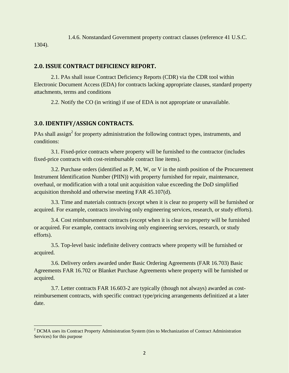1.4.6. Nonstandard Government property contract clauses (reference 41 U.S.C. 1304).

# <span id="page-5-0"></span>**2.0. ISSUE CONTRACT DEFICIENCY REPORT.**

2.1. PAs shall issue Contract Deficiency Reports (CDR) via the CDR tool within Electronic Document Access (EDA) for contracts lacking appropriate clauses, standard property attachments, terms and conditions

2.2. Notify the CO (in writing) if use of EDA is not appropriate or unavailable.

# <span id="page-5-1"></span>**3.0. IDENTIFY/ASSIGN CONTRACTS.**

PAs shall assign<sup>2</sup> for property administration the following contract types, instruments, and conditions:

3.1. Fixed-price contracts where property will be furnished to the contractor (includes fixed-price contracts with cost-reimbursable contract line items).

3.2. Purchase orders (identified as P, M, W, or V in the ninth position of the Procurement Instrument Identification Number (PIIN)) with property furnished for repair, maintenance, overhaul, or modification with a total unit acquisition value exceeding the DoD simplified acquisition threshold and otherwise meeting FAR 45.107(d).

3.3. Time and materials contracts (except when it is clear no property will be furnished or acquired. For example, contracts involving only engineering services, research, or study efforts).

3.4. Cost reimbursement contracts (except when it is clear no property will be furnished or acquired. For example, contracts involving only engineering services, research, or study efforts).

3.5. Top-level basic indefinite delivery contracts where property will be furnished or acquired.

3.6. Delivery orders awarded under Basic Ordering Agreements (FAR 16.703) Basic Agreements FAR 16.702 or Blanket Purchase Agreements where property will be furnished or acquired.

3.7. Letter contracts FAR 16.603-2 are typically (though not always) awarded as costreimbursement contracts, with specific contract type/pricing arrangements definitized at a later date.

 <sup>2</sup> DCMA uses its Contract Property Administration System (ties to Mechanization of Contract Administration Services) for this purpose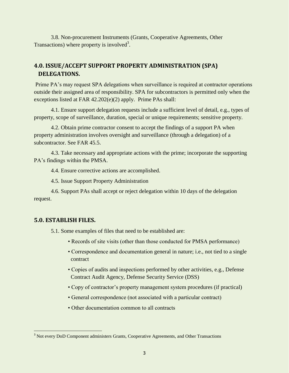3.8. Non-procurement Instruments (Grants, Cooperative Agreements, Other Transactions) where property is involved<sup>3</sup>.

# <span id="page-6-0"></span>**4.0. ISSUE/ACCEPT SUPPORT PROPERTY ADMINISTRATION (SPA) DELEGATIONS.**

Prime PA's may request SPA delegations when surveillance is required at contractor operations outside their assigned area of responsibility. SPA for subcontractors is permitted only when the exceptions listed at FAR 42.202(e)(2) apply. Prime PAs shall:

4.1. Ensure support delegation requests include a sufficient level of detail, e.g., types of property, scope of surveillance, duration, special or unique requirements; sensitive property.

4.2. Obtain prime contractor consent to accept the findings of a support PA when property administration involves oversight and surveillance (through a delegation) of a subcontractor. See FAR 45.5.

4.3. Take necessary and appropriate actions with the prime; incorporate the supporting PA's findings within the PMSA.

4.4. Ensure corrective actions are accomplished.

4.5. Issue Support Property Administration

4.6. Support PAs shall accept or reject delegation within 10 days of the delegation request.

#### <span id="page-6-1"></span>**5.0. ESTABLISH FILES.**

5.1. Some examples of files that need to be established are:

- Records of site visits (other than those conducted for PMSA performance)
- Correspondence and documentation general in nature; i.e., not tied to a single contract
- Copies of audits and inspections performed by other activities, e.g., Defense Contract Audit Agency, Defense Security Service (DSS)
- Copy of contractor's property management system procedures (if practical)
- General correspondence (not associated with a particular contract)
- Other documentation common to all contracts

<sup>&</sup>lt;sup>3</sup> Not every DoD Component administers Grants, Cooperative Agreements, and Other Transactions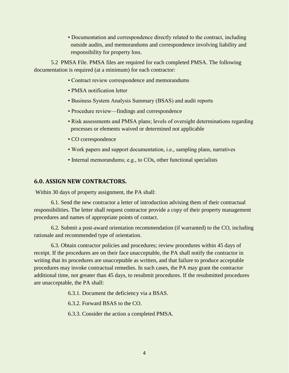• Documentation and correspondence directly related to the contract, including outside audits, and memorandums and correspondence involving liability and responsibility for property loss.

5.2 PMSA File. PMSA files are required for each completed PMSA. The following documentation is required (at a minimum) for each contractor:

- Contract review correspondence and memorandums
- PMSA notification letter
- Business System Analysis Summary (BSAS) and audit reports
- Procedure review—findings and correspondence
- Risk assessments and PMSA plans; levels of oversight determinations regarding processes or elements waived or determined not applicable
- CO correspondence
- Work papers and support documentation, i.e., sampling plans, narratives
- Internal memorandums; e.g., to COs, other functional specialists

#### <span id="page-7-0"></span>**6.0. ASSIGN NEW CONTRACTORS.**

Within 30 days of property assignment, the PA shall:

6.1. Send the new contractor a letter of introduction advising them of their contractual responsibilities. The letter shall request contractor provide a copy of their property management procedures and names of appropriate points of contact.

6.2. Submit a post-award orientation recommendation (if warranted) to the CO, including rationale and recommended type of orientation.

6.3. Obtain contractor policies and procedures; review procedures within 45 days of receipt. If the procedures are on their face unacceptable, the PA shall notify the contractor in writing that its procedures are unacceptable as written, and that failure to produce acceptable procedures may invoke contractual remedies. In such cases, the PA may grant the contractor additional time, not greater than 45 days, to resubmit procedures. If the resubmitted procedures are unacceptable, the PA shall:

6.3.1. Document the deficiency via a BSAS.

6.3.2. Forward BSAS to the CO.

6.3.3. Consider the action a completed PMSA.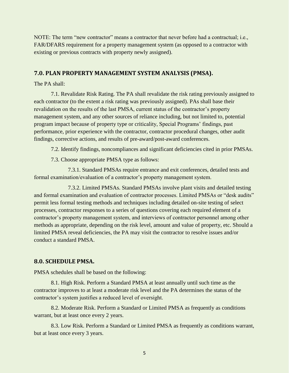NOTE: The term "new contractor" means a contractor that never before had a contractual; i.e., FAR/DFARS requirement for a property management system (as opposed to a contractor with existing or previous contracts with property newly assigned).

#### <span id="page-8-0"></span>**7.0. PLAN PROPERTY MANAGEMENT SYSTEM ANALYSIS (PMSA).**

The PA shall:

7.1. Revalidate Risk Rating. The PA shall revalidate the risk rating previously assigned to each contractor (to the extent a risk rating was previously assigned). PAs shall base their revalidation on the results of the last PMSA, current status of the contractor's property management system, and any other sources of reliance including, but not limited to, potential program impact because of property type or criticality, Special Programs' findings, past performance, prior experience with the contractor, contractor procedural changes, other audit findings, corrective actions, and results of pre-award/post-award conferences.

7.2. Identify findings, noncompliances and significant deficiencies cited in prior PMSAs.

7.3. Choose appropriate PMSA type as follows:

7.3.1. Standard PMSAs require entrance and exit conferences, detailed tests and formal examination/evaluation of a contractor's property management system.

7.3.2. Limited PMSAs. Standard PMSAs involve plant visits and detailed testing and formal examination and evaluation of contractor processes. Limited PMSAs or "desk audits" permit less formal testing methods and techniques including detailed on-site testing of select processes, contractor responses to a series of questions covering each required element of a contractor's property management system, and interviews of contractor personnel among other methods as appropriate, depending on the risk level, amount and value of property, etc. Should a limited PMSA reveal deficiencies, the PA may visit the contractor to resolve issues and/or conduct a standard PMSA.

#### <span id="page-8-1"></span>**8.0. SCHEDULE PMSA.**

PMSA schedules shall be based on the following:

8.1. High Risk. Perform a Standard PMSA at least annually until such time as the contractor improves to at least a moderate risk level and the PA determines the status of the contractor's system justifies a reduced level of oversight.

8.2. Moderate Risk. Perform a Standard or Limited PMSA as frequently as conditions warrant, but at least once every 2 years.

8.3. Low Risk. Perform a Standard or Limited PMSA as frequently as conditions warrant, but at least once every 3 years.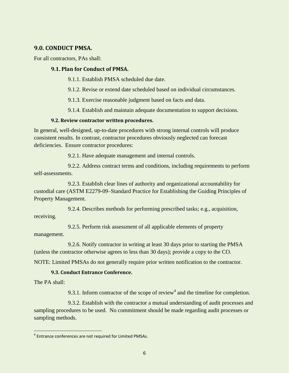#### <span id="page-9-0"></span>**9.0. CONDUCT PMSA.**

For all contractors, PAs shall:

#### <span id="page-9-1"></span>**9.1. Plan for Conduct of PMSA.**

9.1.1. Establish PMSA scheduled due date.

9.1.2. Revise or extend date scheduled based on individual circumstances.

9.1.3. Exercise reasonable judgment based on facts and data.

9.1.4. Establish and maintain adequate documentation to support decisions.

#### <span id="page-9-2"></span>**9.2. Review contractor written procedures.**

In general, well-designed, up-to-date procedures with strong internal controls will produce consistent results. In contrast, contractor procedures obviously neglected can forecast deficiencies. Ensure contractor procedures:

9.2.1. Have adequate management and internal controls.

9.2.2. Address contract terms and conditions, including requirements to perform self-assessments.

9.2.3. Establish clear lines of authority and organizational accountability for custodial care (ASTM E2279-09–Standard Practice for Establishing the Guiding Principles of Property Management.

9.2.4. Describes methods for performing prescribed tasks; e.g., acquisition, receiving.

9.2.5. Perform risk assessment of all applicable elements of property management.

9.2.6. Notify contractor in writing at least 30 days prior to starting the PMSA (unless the contractor otherwise agrees to less than 30 days); provide a copy to the CO.

NOTE: Limited PMSAs do not generally require prior written notification to the contractor.

#### <span id="page-9-3"></span>**9.3. Conduct Entrance Conference.**

The PA shall:

9.3.1. Inform contractor of the scope of review<sup>4</sup> and the timeline for completion.

9.3.2. Establish with the contractor a mutual understanding of audit processes and sampling procedures to be used. No commitment should be made regarding audit processes or sampling methods.

<sup>&</sup>lt;sup>4</sup> Entrance conferences are not required for Limited PMSAs.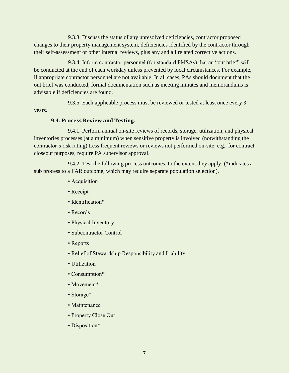9.3.3. Discuss the status of any unresolved deficiencies, contractor proposed changes to their property management system, deficiencies identified by the contractor through their self-assessment or other internal reviews, plus any and all related corrective actions.

9.3.4. Inform contractor personnel (for standard PMSAs) that an "out brief" will be conducted at the end of each workday unless prevented by local circumstances. For example, if appropriate contractor personnel are not available. In all cases, PAs should document that the out brief was conducted; formal documentation such as meeting minutes and memorandums is advisable if deficiencies are found.

9.3.5. Each applicable process must be reviewed or tested at least once every 3 years.

#### <span id="page-10-0"></span>**9.4. Process Review and Testing.**

9.4.1. Perform annual on-site reviews of records, storage, utilization, and physical inventories processes (at a minimum) when sensitive property is involved (notwithstanding the contractor's risk rating) Less frequent reviews or reviews not performed on-site; e.g., for contract closeout purposes, require PA supervisor approval.

9.4.2. Test the following process outcomes, to the extent they apply: (\*indicates a sub process to a FAR outcome, which may require separate population selection).

- Acquisition
- Receipt
- Identification\*
- Records
- Physical Inventory
- Subcontractor Control
- Reports
- Relief of Stewardship Responsibility and Liability
- Utilization
- Consumption\*
- Movement<sup>\*</sup>
- Storage\*
- Maintenance
- Property Close Out
- Disposition\*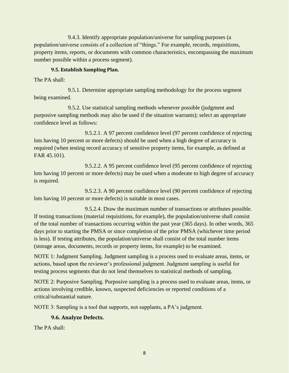9.4.3. Identify appropriate population/universe for sampling purposes (a population/universe consists of a collection of "things." For example, records, requisitions, property items, reports, or documents with common characteristics, encompassing the maximum number possible within a process segment).

#### <span id="page-11-0"></span>**9.5. Establish Sampling Plan.**

The PA shall:

9.5.1. Determine appropriate sampling methodology for the process segment being examined.

9.5.2. Use statistical sampling methods whenever possible (judgment and purposive sampling methods may also be used if the situation warrants); select an appropriate confidence level as follows:

9.5.2.1. A 97 percent confidence level (97 percent confidence of rejecting lots having 10 percent or more defects) should be used when a high degree of accuracy is required (when testing record accuracy of sensitive property items, for example, as defined at FAR 45.101).

9.5.2.2. A 95 percent confidence level (95 percent confidence of rejecting lots having 10 percent or more defects) may be used when a moderate to high degree of accuracy is required.

9.5.2.3. A 90 percent confidence level (90 percent confidence of rejecting lots having 10 percent or more defects) is suitable in most cases.

9.5.2.4. Draw the maximum number of transactions or attributes possible. If testing transactions (material requisitions, for example), the population/universe shall consist of the total number of transactions occurring within the past year (365 days). In other words, 365 days prior to starting the PMSA or since completion of the prior PMSA (whichever time period is less). If testing attributes, the population/universe shall consist of the total number items (storage areas, documents, records or property items, for example) to be examined.

NOTE 1: Judgment Sampling. Judgment sampling is a process used to evaluate areas, items, or actions, based upon the reviewer's professional judgment. Judgment sampling is useful for testing process segments that do not lend themselves to statistical methods of sampling.

NOTE 2: Purposive Sampling. Purposive sampling is a process used to evaluate areas, items, or actions involving credible, known, suspected deficiencies or reported conditions of a critical/substantial nature.

NOTE 3: Sampling is a tool that supports, not supplants, a PA's judgment.

# <span id="page-11-1"></span>**9.6. Analyze Defects.**

The PA shall: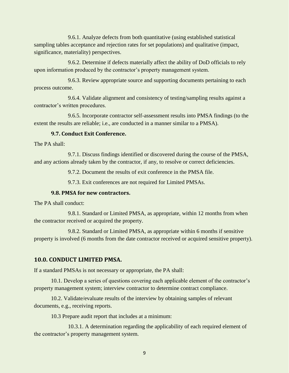9.6.1. Analyze defects from both quantitative (using established statistical sampling tables acceptance and rejection rates for set populations) and qualitative (impact, significance, materiality) perspectives.

9.6.2. Determine if defects materially affect the ability of DoD officials to rely upon information produced by the contractor's property management system.

9.6.3. Review appropriate source and supporting documents pertaining to each process outcome.

9.6.4. Validate alignment and consistency of testing/sampling results against a contractor's written procedures.

9.6.5. Incorporate contractor self-assessment results into PMSA findings (to the extent the results are reliable; i.e., are conducted in a manner similar to a PMSA).

#### <span id="page-12-0"></span>**9.7. Conduct Exit Conference.**

The PA shall:

9.7.1. Discuss findings identified or discovered during the course of the PMSA, and any actions already taken by the contractor, if any, to resolve or correct deficiencies.

9.7.2. Document the results of exit conference in the PMSA file.

9.7.3. Exit conferences are not required for Limited PMSAs.

#### <span id="page-12-1"></span>**9.8. PMSA for new contractors.**

The PA shall conduct:

9.8.1. Standard or Limited PMSA, as appropriate, within 12 months from when the contractor received or acquired the property.

9.8.2. Standard or Limited PMSA, as appropriate within 6 months if sensitive property is involved (6 months from the date contractor received or acquired sensitive property).

#### <span id="page-12-2"></span>**10.0. CONDUCT LIMITED PMSA.**

If a standard PMSAs is not necessary or appropriate, the PA shall:

10.1. Develop a series of questions covering each applicable element of the contractor's property management system; interview contractor to determine contract compliance.

10.2. Validate/evaluate results of the interview by obtaining samples of relevant documents, e.g., receiving reports.

10.3 Prepare audit report that includes at a minimum:

10.3.1. A determination regarding the applicability of each required element of the contractor's property management system.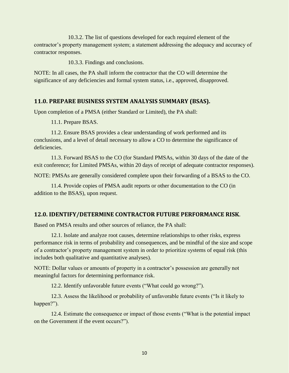10.3.2. The list of questions developed for each required element of the contractor's property management system; a statement addressing the adequacy and accuracy of contractor responses.

10.3.3. Findings and conclusions.

NOTE: In all cases, the PA shall inform the contractor that the CO will determine the significance of any deficiencies and formal system status, i.e., approved, disapproved.

#### <span id="page-13-0"></span>**11.0. PREPARE BUSINESS SYSTEM ANALYSIS SUMMARY (BSAS).**

Upon completion of a PMSA (either Standard or Limited), the PA shall:

11.1. Prepare BSAS.

11.2. Ensure BSAS provides a clear understanding of work performed and its conclusions, and a level of detail necessary to allow a CO to determine the significance of deficiencies.

11.3. Forward BSAS to the CO (for Standard PMSAs, within 30 days of the date of the exit conference; for Limited PMSAs, within 20 days of receipt of adequate contractor responses).

NOTE: PMSAs are generally considered complete upon their forwarding of a BSAS to the CO.

11.4. Provide copies of PMSA audit reports or other documentation to the CO (in addition to the BSAS), upon request.

# <span id="page-13-1"></span>**12.0. IDENTIFY/DETERMINE CONTRACTOR FUTURE PERFORMANCE RISK**.

Based on PMSA results and other sources of reliance, the PA shall:

12.1. Isolate and analyze root causes, determine relationships to other risks, express performance risk in terms of probability and consequences, and be mindful of the size and scope of a contractor's property management system in order to prioritize systems of equal risk (this includes both qualitative and quantitative analyses).

NOTE: Dollar values or amounts of property in a contractor's possession are generally not meaningful factors for determining performance risk.

12.2. Identify unfavorable future events ("What could go wrong?").

12.3. Assess the likelihood or probability of unfavorable future events ("Is it likely to happen?").

12.4. Estimate the consequence or impact of those events ("What is the potential impact on the Government if the event occurs?").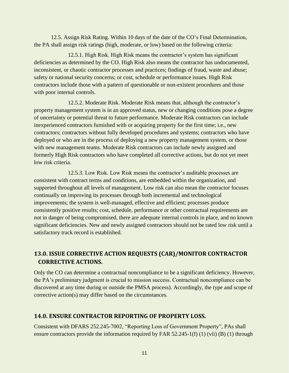12.5. Assign Risk Rating. Within 10 days of the date of the CO's Final Determination, the PA shall assign risk ratings (high, moderate, or low) based on the following criteria:

12.5.1. High Risk. High Risk means the contractor's system has significant deficiencies as determined by the CO. High Risk also means the contractor has undocumented, inconsistent, or chaotic contractor processes and practices; findings of fraud, waste and abuse; safety or national security concerns; or cost, schedule or performance issues. High Risk contractors include those with a pattern of questionable or non-existent procedures and those with poor internal controls.

12.5.2. Moderate Risk. Moderate Risk means that, although the contractor's property management system is in an approved status, new or changing conditions pose a degree of uncertainty or potential threat to future performance. Moderate Risk contractors can include inexperienced contractors furnished with or acquiring property for the first time; i.e., new contractors; contractors without fully developed procedures and systems; contractors who have deployed or who are in the process of deploying a new property management system, or those with new management teams. Moderate Risk contractors can include newly assigned and formerly High Risk contractors who have completed all corrective actions, but do not yet meet low risk criteria.

12.5.3. Low Risk. Low Risk means the contractor's auditable processes are consistent with contract terms and conditions, are embedded within the organization, and supported throughout all levels of management. Low risk can also mean the contractor focuses continually on improving its processes through both incremental and technological improvements; the system is well-managed, effective and efficient; processes produce consistently positive results; cost, schedule, performance or other contractual requirements are not in danger of being compromised, there are adequate internal controls in place, and no known significant deficiencies. New and newly assigned contractors should not be rated low risk until a satisfactory track record is established.

# <span id="page-14-0"></span>**13.0. ISSUE CORRECTIVE ACTION REQUESTS (CAR)/MONITOR CONTRACTOR CORRECTIVE ACTIONS.**

Only the CO can determine a contractual noncompliance to be a significant deficiency. However, the PA's preliminary judgment is crucial to mission success. Contractual noncompliance can be discovered at any time during or outside the PMSA process). Accordingly, the type and scope of corrective action(s) may differ based on the circumstances.

#### <span id="page-14-1"></span>**14.0. ENSURE CONTRACTOR REPORTING OF PROPERTY LOSS.**

Consistent with DFARS 252.245-7002, "Reporting Loss of Government Property", PAs shall ensure contractors provide the information required by FAR 52.245-1(f) (1) (vii) (B) (1) through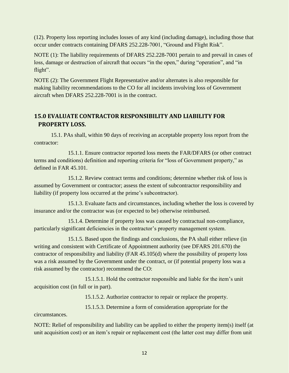(12). Property loss reporting includes losses of any kind (including damage), including those that occur under contracts containing DFARS 252.228-7001, "Ground and Flight Risk".

NOTE (1): The liability requirements of DFARS 252.228-7001 pertain to and prevail in cases of loss, damage or destruction of aircraft that occurs "in the open," during "operation", and "in flight".

NOTE (2): The Government Flight Representative and/or alternates is also responsible for making liability recommendations to the CO for all incidents involving loss of Government aircraft when DFARS 252.228-7001 is in the contract.

# <span id="page-15-0"></span>**15.0 EVALUATE CONTRACTOR RESPONSIBILITY AND LIABILITY FOR PROPERTY LOSS.**

15.1. PAs shall, within 90 days of receiving an acceptable property loss report from the contractor:

15.1.1. Ensure contractor reported loss meets the FAR/DFARS (or other contract terms and conditions) definition and reporting criteria for "loss of Government property," as defined in FAR 45.101.

15.1.2. Review contract terms and conditions; determine whether risk of loss is assumed by Government or contractor; assess the extent of subcontractor responsibility and liability (if property loss occurred at the prime's subcontractor).

15.1.3. Evaluate facts and circumstances, including whether the loss is covered by insurance and/or the contractor was (or expected to be) otherwise reimbursed.

15.1.4. Determine if property loss was caused by contractual non-compliance, particularly significant deficiencies in the contractor's property management system.

15.1.5. Based upon the findings and conclusions, the PA shall either relieve (in writing and consistent with Certificate of Appointment authority (see DFARS 201.670) the contractor of responsibility and liability (FAR 45.105(d) where the possibility of property loss was a risk assumed by the Government under the contract, or (if potential property loss was a risk assumed by the contractor) recommend the CO:

15.1.5.1. Hold the contractor responsible and liable for the item's unit acquisition cost (in full or in part).

15.1.5.2. Authorize contractor to repair or replace the property.

15.1.5.3. Determine a form of consideration appropriate for the

circumstances.

NOTE: Relief of responsibility and liability can be applied to either the property item(s) itself (at unit acquisition cost) or an item's repair or replacement cost (the latter cost may differ from unit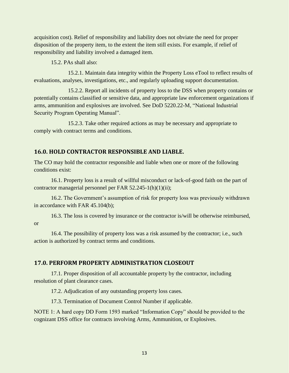acquisition cost). Relief of responsibility and liability does not obviate the need for proper disposition of the property item, to the extent the item still exists. For example, if relief of responsibility and liability involved a damaged item.

15.2. PAs shall also:

15.2.1. Maintain data integrity within the Property Loss eTool to reflect results of evaluations, analyses, investigations, etc., and regularly uploading support documentation.

15.2.2. Report all incidents of property loss to the DSS when property contains or potentially contains classified or sensitive data, and appropriate law enforcement organizations if arms, ammunition and explosives are involved. See DoD 5220.22-M, "National Industrial Security Program Operating Manual".

15.2.3. Take other required actions as may be necessary and appropriate to comply with contract terms and conditions.

#### <span id="page-16-0"></span>**16.0. HOLD CONTRACTOR RESPONSIBLE AND LIABLE.**

The CO may hold the contractor responsible and liable when one or more of the following conditions exist:

16.1. Property loss is a result of willful misconduct or lack-of-good faith on the part of contractor managerial personnel per FAR 52.245-1(h)(1)(ii);

16.2. The Government's assumption of risk for property loss was previously withdrawn in accordance with FAR 45.104(b);

16.3. The loss is covered by insurance or the contractor is/will be otherwise reimbursed, or

16.4. The possibility of property loss was a risk assumed by the contractor; i.e., such action is authorized by contract terms and conditions.

#### <span id="page-16-1"></span>**17.0. PERFORM PROPERTY ADMINISTRATION CLOSEOUT**

17.1. Proper disposition of all accountable property by the contractor, including resolution of plant clearance cases.

17.2. Adjudication of any outstanding property loss cases.

17.3. Termination of Document Control Number if applicable.

NOTE 1: A hard copy DD Form 1593 marked "Information Copy" should be provided to the cognizant DSS office for contracts involving Arms, Ammunition, or Explosives.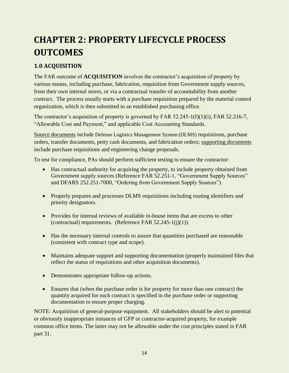# <span id="page-17-0"></span>**CHAPTER 2: PROPERTY LIFECYCLE PROCESS OUTCOMES**

# <span id="page-17-1"></span>**1.0 ACQUISITION**

The FAR outcome of **ACQUISITION** involves the contractor's acquisition of property by various means, including purchase, fabrication, requisition from Government supply sources, from their own internal stores, or via a contractual transfer of accountability from another contract. The process usually starts with a purchase requisition prepared by the material control organization, which is then submitted to an established purchasing office.

The contractor's acquisition of property is governed by FAR 52.245-1(f)(1)(i), FAR 52.216-7, "Allowable Cost and Payment," and applicable Cost Accounting Standards.

Source documents include Defense Logistics Management System (DLMS) requisitions, purchase orders, transfer documents, petty cash documents, and fabrication orders; supporting documents include purchase requisitions and engineering change proposals.

To test for compliance, PAs should perform sufficient testing to ensure the contractor:

- Has contractual authority for acquiring the property, to include property obtained from Government supply sources (Reference FAR 52.251-1, "Government Supply Sources" and DFARS 252.251-7000, "Ordering from Government Supply Sources").
- Properly prepares and processes DLMS requisitions including routing identifiers and priority designators.
- Provides for internal reviews of available in-house items that are excess to other (contractual) requirements. (Reference FAR  $52.245-1(j)(1)$ ).
- Has the necessary internal controls to assure that quantities purchased are reasonable (consistent with contract type and scope).
- Maintains adequate support and supporting documentation (properly maintained files that reflect the status of requisitions and other acquisition documents).
- Demonstrates appropriate follow-up actions.
- Ensures that (when the purchase order is for property for more than one contract) the quantity acquired for each contract is specified in the purchase order or supporting documentation to ensure proper charging.

NOTE: Acquisition of general-purpose equipment. All stakeholders should be alert to potential or obviously inappropriate instances of GFP or contractor-acquired property, for example common office items. The latter may not be allowable under the cost principles stated in FAR part 31.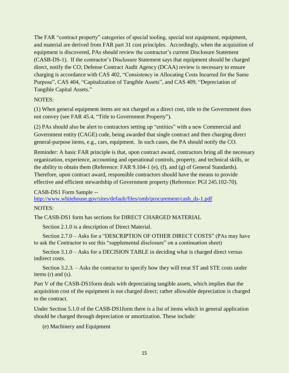The FAR "contract property" categories of special tooling, special test equipment, equipment, and material are derived from FAR part 31 cost principles. Accordingly, when the acquisition of equipment is discovered, PAs should review the contractor's current Disclosure Statement (CASB-DS-1). If the contractor's Disclosure Statement says that equipment should be charged direct, notify the CO; Defense Contract Audit Agency (DCAA) review is necessary to ensure charging is accordance with CAS 402, "Consistency in Allocating Costs Incurred for the Same Purpose", CAS 404, "Capitalization of Tangible Assets", and CAS 409, "Depreciation of Tangible Capital Assets."

#### NOTES:

(1) When general equipment items are not charged as a direct cost, title to the Government does not convey (see FAR 45.4, "Title to Government Property").

(2) PAs should also be alert to contractors setting up "entities" with a new Commercial and Government entity (CAGE) code, being awarded that single contract and then charging direct general-purpose items, e.g., cars, equipment. In such cases, the PA should notify the CO.

Reminder: A basic FAR principle is that, upon contract award, contractors bring all the necessary organization, experience, accounting and operational controls, property, and technical skills, or the ability to obtain them (Reference: FAR 9.104-1 (e), (f), and (g) of General Standards). Therefore, upon contract award, responsible contractors should have the means to provide effective and efficient stewardship of Government property (Reference: PGI 245.102-70).

#### CASB-DS1 Form Sample --

[http://www.whitehouse.gov/sites/default/files/omb/procurement/casb\\_ds-1.pdf](http://www.whitehouse.gov/sites/default/files/omb/procurement/casb_ds-1.pdf)

#### NOTES:

The CASB-DS1 form has sections for DIRECT CHARGED MATERIAL

Section 2.1.0 is a description of Direct Material.

Section 2.7.0 – Asks for a "DESCRIPTION OF OTHER DIRECT COSTS" (PAs may have to ask the Contractor to see this "supplemental disclosure" on a continuation sheet)

Section 3.1.0 – Asks for a DECISION TABLE in deciding what is charged direct versus indirect costs.

Section 3.2.3. – Asks the contractor to specify how they will treat ST and STE costs under items (r) and (s).

Part V of the CASB-DS1form deals with depreciating tangible assets, which implies that the acquisition cost of the equipment is not charged direct; rather allowable depreciation is charged to the contract.

Under Section 5.1.0 of the CASB-DS1form there is a list of items which in general application should be charged through depreciation or amortization. These include:

(e) Machinery and Equipment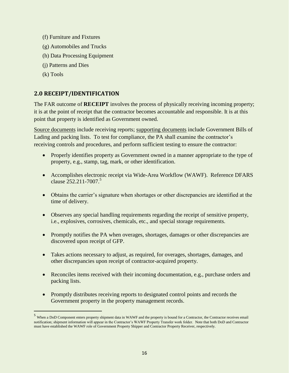- (f) Furniture and Fixtures
- (g) Automobiles and Trucks
- (h) Data Processing Equipment
- (j) Patterns and Dies
- (k) Tools

# <span id="page-19-0"></span>**2.0 RECEIPT/IDENTIFICATION**

The FAR outcome of **RECEIPT** involves the process of physically receiving incoming property; it is at the point of receipt that the contractor becomes accountable and responsible. It is at this point that property is identified as Government owned.

Source documents include receiving reports; supporting documents include Government Bills of Lading and packing lists. To test for compliance, the PA shall examine the contractor's receiving controls and procedures, and perform sufficient testing to ensure the contractor:

- Properly identifies property as Government owned in a manner appropriate to the type of property, e.g., stamp, tag, mark, or other identification.
- Accomplishes electronic receipt via Wide-Area Workflow (WAWF). Reference DFARS clause  $252.211 - 7007$ .<sup>5</sup>
- Obtains the carrier's signature when shortages or other discrepancies are identified at the time of delivery.
- Observes any special handling requirements regarding the receipt of sensitive property, i.e., explosives, corrosives, chemicals, etc., and special storage requirements.
- Promptly notifies the PA when overages, shortages, damages or other discrepancies are discovered upon receipt of GFP.
- Takes actions necessary to adjust, as required, for overages, shortages, damages, and other discrepancies upon receipt of contractor-acquired property.
- Reconciles items received with their incoming documentation, e.g., purchase orders and packing lists.
- Promptly distributes receiving reports to designated control points and records the Government property in the property management records.

<sup>5</sup> When a DoD Component enters property shipment data in WAWF and the property is bound for a Contractor, the Contractor receives email notification; shipment information will appear in the Contractor's WAWF Property Transfer work folder. Note that both DoD and Contractor must have established the WAWF role of Government Property Shipper and Contractor Property Receiver, respectively.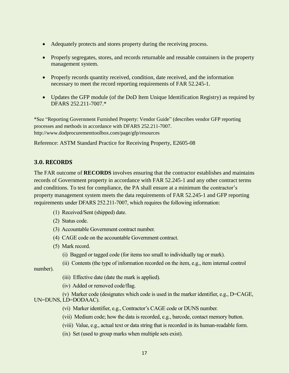- Adequately protects and stores property during the receiving process.
- Properly segregates, stores, and records returnable and reusable containers in the property management system.
- Properly records quantity received, condition, date received, and the information necessary to meet the record reporting requirements of FAR 52.245-1.
- Updates the GFP module (of the DoD Item Unique Identification Registry) as required by DFARS 252.211-7007.\*

\*See "Reporting Government Furnished Property: Vendor Guide" (describes vendor GFP reporting processes and methods in accordance with DFARS 252.211-7007. http://www.dodprocurementtoolbox.com/page/gfp/resources

Reference: ASTM Standard Practice for Receiving Property, E2605-08

#### <span id="page-20-0"></span>**3.0. RECORDS**

The FAR outcome of **RECORDS** involves ensuring that the contractor establishes and maintains records of Government property in accordance with FAR 52.245-1 and any other contract terms and conditions. To test for compliance, the PA shall ensure at a minimum the contractor's property management system meets the data requirements of FAR 52.245-1 and GFP reporting requirements under DFARS 252.211-7007, which requires the following information:

- (1) Received/Sent (shipped) date.
- (2) Status code.
- (3) Accountable Government contract number.
- (4) CAGE code on the accountable Government contract.
- (5) Mark record.
	- (i) Bagged or tagged code (for items too small to individually tag or mark).
	- (ii) Contents (the type of information recorded on the item, e.g., item internal control

number).

- (iii) Effective date (date the mark is applied).
- (iv) Added or removed code/flag.
- (v) Marker code (designates which code is used in the marker identifier, e.g.,  $D = CAGE$ , UN=DUNS, LD=DODAAC).
	- (vi) Marker identifier, e.g., Contractor's CAGE code or DUNS number.
	- (vii) Medium code; how the data is recorded, e.g., barcode, contact memory button.
	- (viii) Value, e.g., actual text or data string that is recorded in its human-readable form.
	- (ix) Set (used to group marks when multiple sets exist).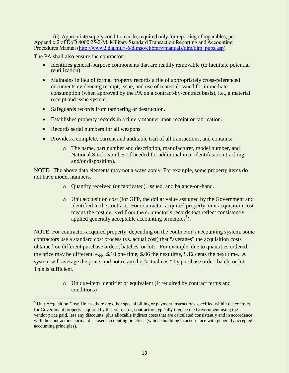(6) Appropriate supply condition code, required only for reporting of reparables, per Appendix 2 of DoD 4000.25-2-M, Military Standard Transaction Reporting and Accounting Procedures Manual [\(http://www2.dla.mil/j-6/dlmso/elibrary/manuals/dlm/dlm\\_pubs.asp\)](http://www2.dla.mil/j-6/dlmso/elibrary/manuals/dlm/dlm_pubs.asp).

The PA shall also ensure the contractor:

- Identifies general-purpose components that are readily removable (to facilitate potential reutilization).
- Maintains in lieu of formal property records a file of appropriately cross-referenced documents evidencing receipt, issue, and use of material issued for immediate consumption (when approved by the PA on a contract-by-contract basis), i.e., a material receipt and issue system.
- Safeguards records from tampering or destruction.
- Establishes property records in a timely manner upon receipt or fabrication.
- Records serial numbers for all weapons.

- Provides a complete, current and auditable trail of all transactions, and contains:
	- o The name, part number and description, manufacturer, model number, and National Stock Number (if needed for additional item identification tracking and/or disposition).

NOTE: The above data elements may not always apply. For example, some property items do not have model numbers.

- o Quantity received (or fabricated), issued, and balance-on-hand.
- o Unit acquisition cost (for GFP, the dollar value assigned by the Government and identified in the contract. For contractor-acquired property, unit acquisition cost means the cost derived from the contractor's records that reflect consistently applied generally acceptable accounting principles<sup>6</sup>).

NOTE: For contractor-acquired property, depending on the contractor's accounting system, some contractors use a standard cost process (vs. actual cost) that "averages" the acquisition costs obtained on different purchase orders, batches, or lots. For example, due to quantities ordered, the price may be different, e.g., \$.10 one time, \$.06 the next time, \$.12 cents the next time. A system will average the price, and not retain the "actual cost" by purchase order, batch, or lot. This is sufficient.

> o Unique-item identifier or equivalent (if required by contract terms and conditions)

 $6$  Unit Acquisition Cost: Unless there are other special billing or payment instructions specified within the contract, for Government property acquired by the contractor, contractors typically invoice the Government using the vendor price paid, less any discounts, plus allocable indirect costs that are calculated consistently and in accordance with the contractor's normal disclosed accounting practices (which should be in accordance with generally accepted accounting principles).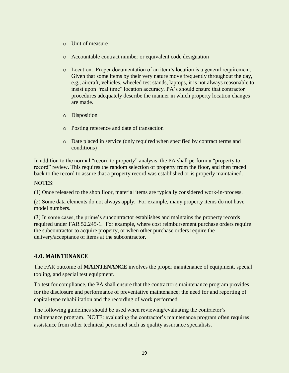- o Unit of measure
- o Accountable contract number or equivalent code designation
- o Location. Proper documentation of an item's location is a general requirement. Given that some items by their very nature move frequently throughout the day, e.g., aircraft, vehicles, wheeled test stands, laptops, it is not always reasonable to insist upon "real time" location accuracy. PA's should ensure that contractor procedures adequately describe the manner in which property location changes are made.
- o Disposition
- o Posting reference and date of transaction
- o Date placed in service (only required when specified by contract terms and conditions)

In addition to the normal "record to property" analysis, the PA shall perform a "property to record" review. This requires the random selection of property from the floor, and then traced back to the record to assure that a property record was established or is properly maintained.

NOTES:

(1) Once released to the shop floor, material items are typically considered work-in-process.

(2) Some data elements do not always apply. For example, many property items do not have model numbers.

(3) In some cases, the prime's subcontractor establishes and maintains the property records required under FAR 52.245-1. For example, where cost reimbursement purchase orders require the subcontractor to acquire property, or when other purchase orders require the delivery/acceptance of items at the subcontractor.

# <span id="page-22-0"></span>**4.0. MAINTENANCE**

The FAR outcome of **MAINTENANCE** involves the proper maintenance of equipment, special tooling, and special test equipment.

To test for compliance, the PA shall ensure that the contractor's maintenance program provides for the disclosure and performance of preventative maintenance; the need for and reporting of capital-type rehabilitation and the recording of work performed.

The following guidelines should be used when reviewing/evaluating the contractor's maintenance program. NOTE: evaluating the contractor's maintenance program often requires assistance from other technical personnel such as quality assurance specialists.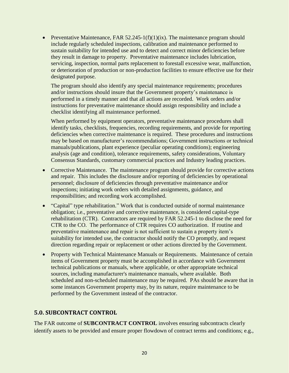• Preventative Maintenance, FAR  $52.245-1(f)(1)(ix)$ . The maintenance program should include regularly scheduled inspections, calibration and maintenance performed to sustain suitability for intended use and to detect and correct minor deficiencies before they result in damage to property. Preventative maintenance includes lubrication, servicing, inspection, normal parts replacement to forestall excessive wear, malfunction, or deterioration of production or non-production facilities to ensure effective use for their designated purpose.

The program should also identify any special maintenance requirements; procedures and/or instructions should insure that the Government property's maintenance is performed in a timely manner and that all actions are recorded. Work orders and/or instructions for preventative maintenance should assign responsibility and include a checklist identifying all maintenance performed.

When performed by equipment operators, preventative maintenance procedures shall identify tasks, checklists, frequencies, recording requirements, and provide for reporting deficiencies when corrective maintenance is required. These procedures and instructions may be based on manufacturer's recommendations; Government instructions or technical manuals/publications, plant experience (peculiar operating conditions); engineering analysis (age and condition), tolerance requirements, safety considerations, Voluntary Consensus Standards, customary commercial practices and Industry leading practices.

- Corrective Maintenance. The maintenance program should provide for corrective actions and repair. This includes the disclosure and/or reporting of deficiencies by operational personnel; disclosure of deficiencies through preventative maintenance and/or inspections; initiating work orders with detailed assignments, guidance, and responsibilities; and recording work accomplished.
- "Capital" type rehabilitation." Work that is conducted outside of normal maintenance obligation; i.e., preventative and corrective maintenance, is considered capital-type rehabilitation (CTR). Contractors are required by FAR 52.245-1 to disclose the need for CTR to the CO. The performance of CTR requires CO authorization. If routine and preventative maintenance and repair is not sufficient to sustain a property item's suitability for intended use, the contractor should notify the CO promptly, and request direction regarding repair or replacement or other actions directed by the Government.
- Property with Technical Maintenance Manuals or Requirements. Maintenance of certain items of Government property must be accomplished in accordance with Government technical publications or manuals, where applicable, or other appropriate technical sources, including manufacturer's maintenance manuals, where available. Both scheduled and non-scheduled maintenance may be required. PAs should be aware that in some instances Government property may, by its nature, require maintenance to be performed by the Government instead of the contractor.

# <span id="page-23-0"></span>**5.0. SUBCONTRACT CONTROL**

The FAR outcome of **SUBCONTRACT CONTROL** involves ensuring subcontracts clearly identify assets to be provided and ensure proper flowdown of contract terms and conditions; e.g.,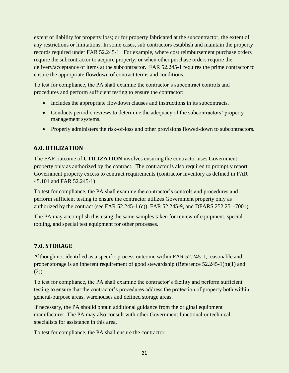extent of liability for property loss; or for property fabricated at the subcontractor, the extent of any restrictions or limitations. In some cases, sub contractors establish and maintain the property records required under FAR 52.245-1. For example, where cost reimbursement purchase orders require the subcontractor to acquire property; or when other purchase orders require the delivery/acceptance of items at the subcontractor. FAR 52.245-1 requires the prime contractor to ensure the appropriate flowdown of contract terms and conditions.

To test for compliance, the PA shall examine the contractor's subcontract controls and procedures and perform sufficient testing to ensure the contractor:

- Includes the appropriate flowdown clauses and instructions in its subcontracts.
- Conducts periodic reviews to determine the adequacy of the subcontractors' property management systems.
- Properly administers the risk-of-loss and other provisions flowed-down to subcontractors.

# <span id="page-24-0"></span>**6.0. UTILIZATION**

The FAR outcome of **UTILIZATION** involves ensuring the contractor uses Government property only as authorized by the contract. The contractor is also required to promptly report Government property excess to contract requirements (contractor inventory as defined in FAR 45.101 and FAR 52.245-1)

To test for compliance, the PA shall examine the contractor's controls and procedures and perform sufficient testing to ensure the contractor utilizes Government property only as authorized by the contract (see FAR 52.245-1 (c)), FAR 52.245-9, and DFARS 252.251-7001).

The PA may accomplish this using the same samples taken for review of equipment, special tooling, and special test equipment for other processes.

# <span id="page-24-1"></span>**7.0. STORAGE**

Although not identified as a specific process outcome within FAR 52.245-1, reasonable and proper storage is an inherent requirement of good stewardship (Reference 52.245-1(b)(1) and  $(2)$ ).

To test for compliance, the PA shall examine the contractor's facility and perform sufficient testing to ensure that the contractor's procedures address the protection of property both within general-purpose areas, warehouses and defined storage areas.

If necessary, the PA should obtain additional guidance from the original equipment manufacturer. The PA may also consult with other Government functional or technical specialists for assistance in this area.

To test for compliance, the PA shall ensure the contractor: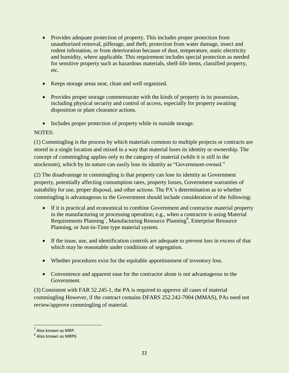- Provides adequate protection of property. This includes proper protection from unauthorized removal, pilferage, and theft; protection from water damage, insect and rodent infestation, or from deterioration because of dust, temperature, static electricity and humidity, where applicable. This requirement includes special protection as needed for sensitive property such as hazardous materials, shelf-life items, classified property, etc.
- Keeps storage areas neat, clean and well organized.
- Provides proper storage commensurate with the kinds of property in its possession, including physical security and control of access, especially for property awaiting disposition or plant clearance actions.
- Includes proper protection of property while in outside storage.

# NOTES:

(1) Commingling is the process by which materials common to multiple projects or contracts are stored in a single location and mixed in a way that material loses its identity or ownership. The concept of commingling applies only to the category of material (while it is still in the stockroom), which by its nature can easily lose its identity as "Government-owned."

(2) The disadvantage in commingling is that property can lose its identity as Government property, potentially affecting consumption rates, property losses, Government warranties of suitability for use, proper disposal, and other actions. The PA's determination as to whether commingling is advantageous to the Government should include consideration of the following:

- If it is practical and economical to combine Government and contractor material property in the manufacturing or processing operation; e.g., when a contractor is using Material Requirements Planning<sup>7</sup>, Manufacturing Resource Planning<sup>8</sup>, Enterprise Resource Planning, or Just-in-Time type material system.
- If the issue, use, and identification controls are adequate to prevent loss in excess of that which may be reasonable under conditions of segregation.
- Whether procedures exist for the equitable apportionment of inventory loss.
- Convenience and apparent ease for the contractor alone is not advantageous to the Government.

(3) Consistent with FAR 52.245-1, the PA is required to approve all cases of material commingling However, if the contract contains DFARS 252.242-7004 (MMAS), PAs need not review/approve commingling of material.

 7 Also known as MRP.

<sup>&</sup>lt;sup>8</sup> Also known as MRPII.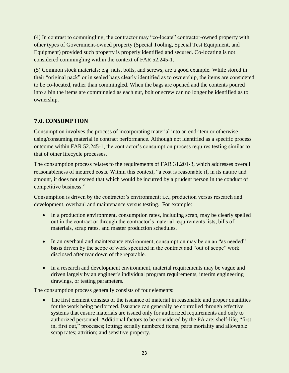(4) In contrast to commingling, the contractor may "co-locate" contractor-owned property with other types of Government-owned property (Special Tooling, Special Test Equipment, and Equipment) provided such property is properly identified and secured. Co-locating is not considered commingling within the context of FAR 52.245-1.

(5) Common stock materials; e.g. nuts, bolts, and screws, are a good example. While stored in their "original pack" or in sealed bags clearly identified as to ownership, the items are considered to be co-located, rather than commingled. When the bags are opened and the contents poured into a bin the items are commingled as each nut, bolt or screw can no longer be identified as to ownership.

# <span id="page-26-0"></span>**7.0. CONSUMPTION**

Consumption involves the process of incorporating material into an end-item or otherwise using/consuming material in contract performance. Although not identified as a specific process outcome within FAR 52.245-1, the contractor's consumption process requires testing similar to that of other lifecycle processes.

The consumption process relates to the requirements of FAR 31.201-3, which addresses overall reasonableness of incurred costs. Within this context, "a cost is reasonable if, in its nature and amount, it does not exceed that which would be incurred by a prudent person in the conduct of competitive business."

Consumption is driven by the contractor's environment; i.e., production versus research and development, overhaul and maintenance versus testing. For example:

- In a production environment, consumption rates, including scrap, may be clearly spelled out in the contract or through the contractor's material requirements lists, bills of materials, scrap rates, and master production schedules.
- In an overhaul and maintenance environment, consumption may be on an "as needed" basis driven by the scope of work specified in the contract and "out of scope" work disclosed after tear down of the reparable.
- In a research and development environment, material requirements may be vague and driven largely by an engineer's individual program requirements, interim engineering drawings, or testing parameters.

The consumption process generally consists of four elements:

• The first element consists of the issuance of material in reasonable and proper quantities for the work being performed. Issuance can generally be controlled through effective systems that ensure materials are issued only for authorized requirements and only to authorized personnel. Additional factors to be considered by the PA are: shelf-life; "first in, first out," processes; lotting; serially numbered items; parts mortality and allowable scrap rates; attrition; and sensitive property.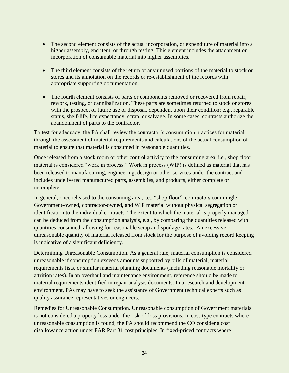- The second element consists of the actual incorporation, or expenditure of material into a higher assembly, end item, or through testing. This element includes the attachment or incorporation of consumable material into higher assemblies.
- The third element consists of the return of any unused portions of the material to stock or stores and its annotation on the records or re-establishment of the records with appropriate supporting documentation.
- The fourth element consists of parts or components removed or recovered from repair, rework, testing, or cannibalization. These parts are sometimes returned to stock or stores with the prospect of future use or disposal, dependent upon their condition; e.g., reparable status, shelf-life, life expectancy, scrap, or salvage. In some cases, contracts authorize the abandonment of parts to the contractor.

To test for adequacy, the PA shall review the contractor's consumption practices for material through the assessment of material requirements and calculations of the actual consumption of material to ensure that material is consumed in reasonable quantities.

Once released from a stock room or other control activity to the consuming area; i.e., shop floor material is considered "work in process." Work in process (WIP) is defined as material that has been released to manufacturing, engineering, design or other services under the contract and includes undelivered manufactured parts, assemblies, and products, either complete or incomplete.

In general, once released to the consuming area, i.e., "shop floor", contractors commingle Government-owned, contractor-owned, and WIP material without physical segregation or identification to the individual contracts. The extent to which the material is properly managed can be deduced from the consumption analysis, e.g., by comparing the quantities released with quantities consumed, allowing for reasonable scrap and spoilage rates. An excessive or unreasonable quantity of material released from stock for the purpose of avoiding record keeping is indicative of a significant deficiency.

Determining Unreasonable Consumption. As a general rule, material consumption is considered unreasonable if consumption exceeds amounts supported by bills of material, material requirements lists, or similar material planning documents (including reasonable mortality or attrition rates). In an overhaul and maintenance environment, reference should be made to material requirements identified in repair analysis documents. In a research and development environment, PAs may have to seek the assistance of Government technical experts such as quality assurance representatives or engineers.

Remedies for Unreasonable Consumption. Unreasonable consumption of Government materials is not considered a property loss under the risk-of-loss provisions. In cost-type contracts where unreasonable consumption is found, the PA should recommend the CO consider a cost disallowance action under FAR Part 31 cost principles. In fixed-priced contracts where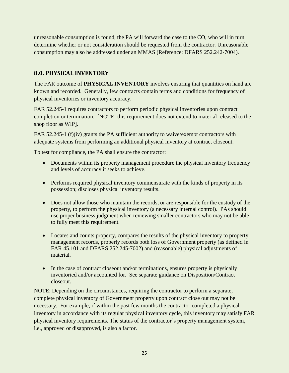unreasonable consumption is found, the PA will forward the case to the CO, who will in turn determine whether or not consideration should be requested from the contractor. Unreasonable consumption may also be addressed under an MMAS (Reference: DFARS 252.242-7004).

# <span id="page-28-0"></span>**8.0. PHYSICAL INVENTORY**

The FAR outcome of **PHYSICAL INVENTORY** involves ensuring that quantities on hand are known and recorded. Generally, few contracts contain terms and conditions for frequency of physical inventories or inventory accuracy.

FAR 52.245-1 requires contractors to perform periodic physical inventories upon contract completion or termination. [NOTE: this requirement does not extend to material released to the shop floor as WIP].

FAR 52.245-1 (f)(iv) grants the PA sufficient authority to waive/exempt contractors with adequate systems from performing an additional physical inventory at contract closeout.

To test for compliance, the PA shall ensure the contractor:

- Documents within its property management procedure the physical inventory frequency and levels of accuracy it seeks to achieve.
- Performs required physical inventory commensurate with the kinds of property in its possession; discloses physical inventory results.
- Does not allow those who maintain the records, or are responsible for the custody of the property, to perform the physical inventory (a necessary internal control). PAs should use proper business judgment when reviewing smaller contractors who may not be able to fully meet this requirement.
- Locates and counts property, compares the results of the physical inventory to property management records, properly records both loss of Government property (as defined in FAR 45.101 and DFARS 252.245-7002) and (reasonable) physical adjustments of material.
- In the case of contract closeout and/or terminations, ensures property is physically inventoried and/or accounted for. See separate guidance on Disposition/Contract closeout.

NOTE: Depending on the circumstances, requiring the contractor to perform a separate, complete physical inventory of Government property upon contract close out may not be necessary. For example, if within the past few months the contractor completed a physical inventory in accordance with its regular physical inventory cycle, this inventory may satisfy FAR physical inventory requirements. The status of the contractor's property management system, i.e., approved or disapproved, is also a factor.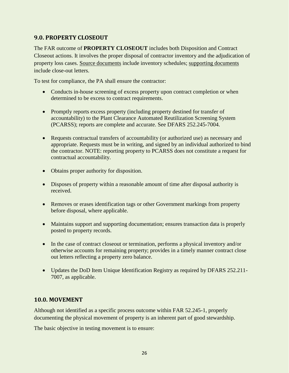# <span id="page-29-0"></span>**9.0. PROPERTY CLOSEOUT**

The FAR outcome of **PROPERTY CLOSEOUT** includes both Disposition and Contract Closeout actions. It involves the proper disposal of contractor inventory and the adjudication of property loss cases. Source documents include inventory schedules; supporting documents include close-out letters.

To test for compliance, the PA shall ensure the contractor:

- Conducts in-house screening of excess property upon contract completion or when determined to be excess to contract requirements.
- Promptly reports excess property (including property destined for transfer of accountability) to the Plant Clearance Automated Reutilization Screening System (PCARSS); reports are complete and accurate. See DFARS 252.245-7004.
- Requests contractual transfers of accountability (or authorized use) as necessary and appropriate. Requests must be in writing, and signed by an individual authorized to bind the contractor. NOTE: reporting property to PCARSS does not constitute a request for contractual accountability.
- Obtains proper authority for disposition.
- Disposes of property within a reasonable amount of time after disposal authority is received.
- Removes or erases identification tags or other Government markings from property before disposal, where applicable.
- Maintains support and supporting documentation; ensures transaction data is properly posted to property records.
- In the case of contract closeout or termination, performs a physical inventory and/or otherwise accounts for remaining property; provides in a timely manner contract close out letters reflecting a property zero balance.
- Updates the DoD Item Unique Identification Registry as required by DFARS 252.211- 7007, as applicable.

#### <span id="page-29-1"></span>**10.0. MOVEMENT**

Although not identified as a specific process outcome within FAR 52.245-1, properly documenting the physical movement of property is an inherent part of good stewardship.

The basic objective in testing movement is to ensure: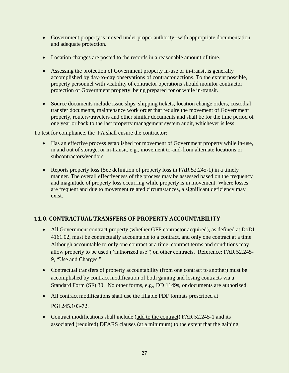- Government property is moved under proper authority--with appropriate documentation and adequate protection.
- Location changes are posted to the records in a reasonable amount of time.
- Assessing the protection of Government property in-use or in-transit is generally accomplished by day-to-day observations of contractor actions. To the extent possible, property personnel with visibility of contractor operations should monitor contractor protection of Government property being prepared for or while in-transit.
- Source documents include issue slips, shipping tickets, location change orders, custodial transfer documents, maintenance work order that require the movement of Government property, routers/travelers and other similar documents and shall be for the time period of one year or back to the last property management system audit, whichever is less.

To test for compliance, the PA shall ensure the contractor:

- Has an effective process established for movement of Government property while in-use, in and out of storage, or in-transit, e.g., movement to-and-from alternate locations or subcontractors/vendors.
- Reports property loss (See definition of property loss in FAR 52.245-1) in a timely manner. The overall effectiveness of the process may be assessed based on the frequency and magnitude of property loss occurring while property is in movement. Where losses are frequent and due to movement related circumstances, a significant deficiency may exist.

# <span id="page-30-0"></span>**11.0. CONTRACTUAL TRANSFERS OF PROPERTY ACCOUNTABILITY**

- All Government contract property (whether GFP contractor acquired), as defined at DoDI 4161.02, must be contractually accountable to a contract, and only one contract at a time. Although accountable to only one contract at a time, contract terms and conditions may allow property to be used ("authorized use") on other contracts. Reference: FAR 52.245- 9, "Use and Charges."
- Contractual transfers of property accountability (from one contract to another) must be accomplished by contract modification of both gaining and losing contracts via a Standard Form (SF) 30. No other forms, e.g., DD 1149s, or documents are authorized.
- All contract modifications shall use the fillable PDF formats prescribed at [PGI 245.103-72.](http://www.acq.osd.mil/dpap/dars/pgi/pgi_htm/PGI245_1.htm)
- Contract modifications shall include (add to the contract) FAR 52.245-1 and its associated (required) DFARS clauses (at a minimum) to the extent that the gaining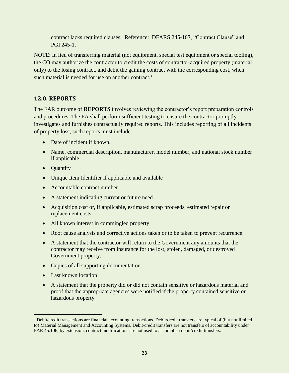contract lacks required clauses. Reference: DFARS 245-107, "Contract Clause" and PGI 245-1.

NOTE: In lieu of transferring material (not equipment, special test equipment or special tooling), the CO may authorize the contractor to credit the costs of contractor-acquired property (material only) to the losing contract, and debit the gaining contract with the corresponding cost, when such material is needed for use on another contract.<sup>9</sup>

# <span id="page-31-0"></span>**12.0. REPORTS**

The FAR outcome of **REPORTS** involves reviewing the contractor's report preparation controls and procedures. The PA shall perform sufficient testing to ensure the contractor promptly investigates and furnishes contractually required reports. This includes reporting of all incidents of property loss; such reports must include:

- Date of incident if known.
- Name, commercial description, manufacturer, model number, and national stock number if applicable
- Quantity
- Unique Item Identifier if applicable and available
- Accountable contract number
- A statement indicating current or future need
- Acquisition cost or, if applicable, estimated scrap proceeds, estimated repair or replacement costs
- All known interest in commingled property
- Root cause analysis and corrective actions taken or to be taken to prevent recurrence.
- A statement that the contractor will return to the Government any amounts that the contractor may receive from insurance for the lost, stolen, damaged, or destroyed Government property.
- Copies of all supporting documentation.
- Last known location
- A statement that the property did or did not contain sensitive or hazardous material and proof that the appropriate agencies were notified if the property contained sensitive or hazardous property

 <sup>9</sup> Debit/credit transactions are financial accounting transactions. Debit/credit transfers are typical of (but not limited to) Material Management and Accounting Systems. Debit/credit transfers are not transfers of accountability under FAR 45.106; by extension, contract modifications are not used to accomplish debit/credit transfers.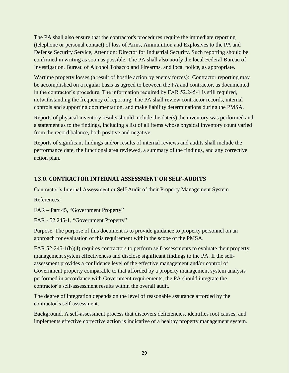The PA shall also ensure that the contractor's procedures require the immediate reporting (telephone or personal contact) of loss of Arms, Ammunition and Explosives to the PA and Defense Security Service, Attention: Director for Industrial Security. Such reporting should be confirmed in writing as soon as possible. The PA shall also notify the local Federal Bureau of Investigation, Bureau of Alcohol Tobacco and Firearms, and local police, as appropriate.

Wartime property losses (a result of hostile action by enemy forces): Contractor reporting may be accomplished on a regular basis as agreed to between the PA and contractor, as documented in the contractor's procedure. The information required by FAR 52.245-1 is still required, notwithstanding the frequency of reporting. The PA shall review contractor records, internal controls and supporting documentation, and make liability determinations during the PMSA.

Reports of physical inventory results should include the date(s) the inventory was performed and a statement as to the findings, including a list of all items whose physical inventory count varied from the record balance, both positive and negative.

Reports of significant findings and/or results of internal reviews and audits shall include the performance date, the functional area reviewed, a summary of the findings, and any corrective action plan.

# <span id="page-32-0"></span>**13.0. CONTRACTOR INTERNAL ASSESSMENT OR SELF-AUDITS**

Contractor's Internal Assessment or Self-Audit of their Property Management System

References:

FAR – Part 45, "Government Property"

FAR - 52.245-1, "Government Property"

Purpose. The purpose of this document is to provide guidance to property personnel on an approach for evaluation of this requirement within the scope of the PMSA.

FAR 52-245-1(b)(4) requires contractors to perform self-assessments to evaluate their property management system effectiveness and disclose significant findings to the PA. If the selfassessment provides a confidence level of the effective management and/or control of Government property comparable to that afforded by a property management system analysis performed in accordance with Government requirements, the PA should integrate the contractor's self-assessment results within the overall audit.

The degree of integration depends on the level of reasonable assurance afforded by the contractor's self-assessment.

Background. A self-assessment process that discovers deficiencies, identifies root causes, and implements effective corrective action is indicative of a healthy property management system.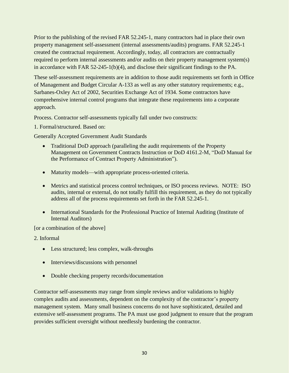Prior to the publishing of the revised FAR 52.245-1, many contractors had in place their own property management self-assessment (internal assessments/audits) programs. FAR 52.245-1 created the contractual requirement. Accordingly, today, all contractors are contractually required to perform internal assessments and/or audits on their property management system(s) in accordance with FAR 52-245-1(b)(4), and disclose their significant findings to the PA.

These self-assessment requirements are in addition to those audit requirements set forth in Office of Management and Budget Circular A-133 as well as any other statutory requirements; e.g., Sarbanes-Oxley Act of 2002, Securities Exchange Act of 1934. Some contractors have comprehensive internal control programs that integrate these requirements into a corporate approach.

Process. Contractor self-assessments typically fall under two constructs:

1. Formal/structured. Based on:

Generally Accepted Government Audit Standards

- Traditional DoD approach (paralleling the audit requirements of the Property Management on Government Contracts Instruction or DoD 4161.2-M, "DoD Manual for the Performance of Contract Property Administration").
- Maturity models—with appropriate process-oriented criteria.
- Metrics and statistical process control techniques, or ISO process reviews. NOTE: ISO audits, internal or external, do not totally fulfill this requirement, as they do not typically address all of the process requirements set forth in the FAR 52.245-1.
- International Standards for the Professional Practice of Internal Auditing (Institute of Internal Auditors)

[or a combination of the above]

2. Informal

- Less structured; less complex, walk-throughs
- Interviews/discussions with personnel
- Double checking property records/documentation

Contractor self-assessments may range from simple reviews and/or validations to highly complex audits and assessments, dependent on the complexity of the contractor's property management system. Many small business concerns do not have sophisticated, detailed and extensive self-assessment programs. The PA must use good judgment to ensure that the program provides sufficient oversight without needlessly burdening the contractor.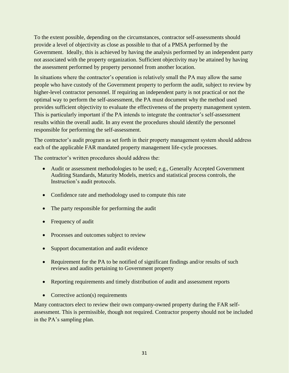To the extent possible, depending on the circumstances, contractor self-assessments should provide a level of objectivity as close as possible to that of a PMSA performed by the Government. Ideally, this is achieved by having the analysis performed by an independent party not associated with the property organization. Sufficient objectivity may be attained by having the assessment performed by property personnel from another location.

In situations where the contractor's operation is relatively small the PA may allow the same people who have custody of the Government property to perform the audit, subject to review by higher-level contractor personnel. If requiring an independent party is not practical or not the optimal way to perform the self-assessment, the PA must document why the method used provides sufficient objectivity to evaluate the effectiveness of the property management system. This is particularly important if the PA intends to integrate the contractor's self-assessment results within the overall audit. In any event the procedures should identify the personnel responsible for performing the self-assessment.

The contractor's audit program as set forth in their property management system should address each of the applicable FAR mandated property management life-cycle processes.

The contractor's written procedures should address the:

- Audit or assessment methodologies to be used; e.g., Generally Accepted Government Auditing Standards, Maturity Models, metrics and statistical process controls, the Instruction's audit protocols.
- Confidence rate and methodology used to compute this rate
- The party responsible for performing the audit
- Frequency of audit
- Processes and outcomes subject to review
- Support documentation and audit evidence
- Requirement for the PA to be notified of significant findings and/or results of such reviews and audits pertaining to Government property
- Reporting requirements and timely distribution of audit and assessment reports
- Corrective action(s) requirements

Many contractors elect to review their own company-owned property during the FAR selfassessment. This is permissible, though not required. Contractor property should not be included in the PA's sampling plan.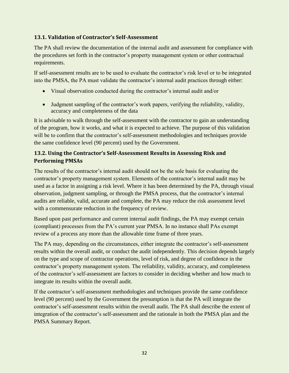# <span id="page-35-0"></span>**13.1. Validation of Contractor's Self-Assessment**

The PA shall review the documentation of the internal audit and assessment for compliance with the procedures set forth in the contractor's property management system or other contractual requirements.

If self-assessment results are to be used to evaluate the contractor's risk level or to be integrated into the PMSA, the PA must validate the contractor's internal audit practices through either:

- Visual observation conducted during the contractor's internal audit and/or
- Judgment sampling of the contractor's work papers, verifying the reliability, validity, accuracy and completeness of the data

It is advisable to walk through the self-assessment with the contractor to gain an understanding of the program, how it works, and what it is expected to achieve. The purpose of this validation will be to confirm that the contractor's self-assessment methodologies and techniques provide the same confidence level (90 percent) used by the Government.

# <span id="page-35-1"></span>**13.2. Using the Contractor's Self-Assessment Results in Assessing Risk and Performing PMSAs**

The results of the contractor's internal audit should not be the sole basis for evaluating the contractor's property management system. Elements of the contractor's internal audit may be used as a factor in assigning a risk level. Where it has been determined by the PA, through visual observation, judgment sampling, or through the PMSA process, that the contractor's internal audits are reliable, valid, accurate and complete, the PA may reduce the risk assessment level with a commensurate reduction in the frequency of review.

Based upon past performance and current internal audit findings, the PA may exempt certain (compliant) processes from the PA's current year PMSA. In no instance shall PAs exempt review of a process any more than the allowable time frame of three years.

The PA may, depending on the circumstances, either integrate the contractor's self-assessment results within the overall audit, or conduct the audit independently. This decision depends largely on the type and scope of contractor operations, level of risk, and degree of confidence in the contractor's property management system. The reliability, validity, accuracy, and completeness of the contractor's self-assessment are factors to consider in deciding whether and how much to integrate its results within the overall audit.

If the contractor's self-assessment methodologies and techniques provide the same confidence level (90 percent) used by the Government the presumption is that the PA will integrate the contractor's self-assessment results within the overall audit. The PA shall describe the extent of integration of the contractor's self-assessment and the rationale in both the PMSA plan and the PMSA Summary Report.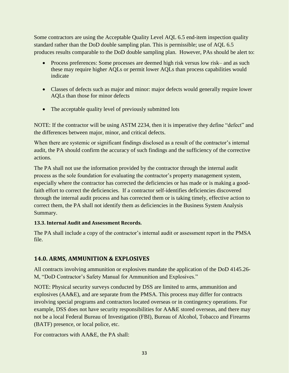Some contractors are using the Acceptable Quality Level AQL 6.5 end-item inspection quality standard rather than the DoD double sampling plan. This is permissible; use of AQL 6.5 produces results comparable to the DoD double sampling plan. However, PAs should be alert to:

- Process preferences: Some processes are deemed high risk versus low risk– and as such these may require higher AQLs or permit lower AQLs than process capabilities would indicate
- Classes of defects such as major and minor: major defects would generally require lower AQLs than those for minor defects
- The acceptable quality level of previously submitted lots

NOTE: If the contractor will be using ASTM 2234, then it is imperative they define "defect" and the differences between major, minor, and critical defects.

When there are systemic or significant findings disclosed as a result of the contractor's internal audit, the PA should confirm the accuracy of such findings and the sufficiency of the corrective actions.

The PA shall not use the information provided by the contractor through the internal audit process as the sole foundation for evaluating the contractor's property management system, especially where the contractor has corrected the deficiencies or has made or is making a goodfaith effort to correct the deficiencies. If a contractor self-identifies deficiencies discovered through the internal audit process and has corrected them or is taking timely, effective action to correct them, the PA shall not identify them as deficiencies in the Business System Analysis Summary.

# <span id="page-36-0"></span>**13.3. Internal Audit and Assessment Records.**

The PA shall include a copy of the contractor's internal audit or assessment report in the PMSA file.

# <span id="page-36-1"></span>**14.0. ARMS, AMMUNITION & EXPLOSIVES**

All contracts involving ammunition or explosives mandate the application of the DoD 4145.26- M, "DoD Contractor's Safety Manual for Ammunition and Explosives."

NOTE: Physical security surveys conducted by DSS are limited to arms, ammunition and explosives (AA&E), and are separate from the PMSA. This process may differ for contracts involving special programs and contractors located overseas or in contingency operations. For example, DSS does not have security responsibilities for AA&E stored overseas, and there may not be a local Federal Bureau of Investigation (FBI), Bureau of Alcohol, Tobacco and Firearms (BATF) presence, or local police, etc.

For contractors with AA&E, the PA shall: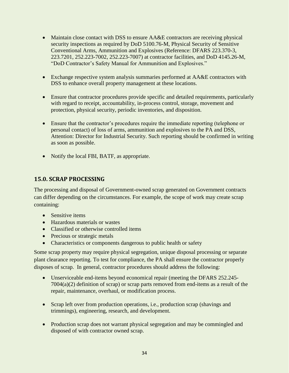- Maintain close contact with DSS to ensure AA&E contractors are receiving physical security inspections as required by DoD 5100.76-M, Physical Security of Sensitive Conventional Arms, Ammunition and Explosives (Reference: DFARS 223.370-3, 223.7201, 252.223-7002, 252.223-7007) at contractor facilities, and DoD 4145.26-M, "DoD Contractor's Safety Manual for Ammunition and Explosives."
- Exchange respective system analysis summaries performed at AA&E contractors with DSS to enhance overall property management at these locations.
- Ensure that contractor procedures provide specific and detailed requirements, particularly with regard to receipt, accountability, in-process control, storage, movement and protection, physical security, periodic inventories, and disposition.
- Ensure that the contractor's procedures require the immediate reporting (telephone or personal contact) of loss of arms, ammunition and explosives to the PA and DSS, Attention: Director for Industrial Security. Such reporting should be confirmed in writing as soon as possible.
- Notify the local FBI, BATF, as appropriate.

# <span id="page-37-0"></span>**15.0. SCRAP PROCESSING**

The processing and disposal of Government-owned scrap generated on Government contracts can differ depending on the circumstances. For example, the scope of work may create scrap containing:

- Sensitive items
- Hazardous materials or wastes
- Classified or otherwise controlled items
- Precious or strategic metals
- Characteristics or components dangerous to public health or safety

Some scrap property may require physical segregation, unique disposal processing or separate plant clearance reporting. To test for compliance, the PA shall ensure the contractor properly disposes of scrap. In general, contractor procedures should address the following:

- Unserviceable end-items beyond economical repair (meeting the DFARS 252.245- 7004(a)(2) definition of scrap) or scrap parts removed from end-items as a result of the repair, maintenance, overhaul, or modification process.
- Scrap left over from production operations, i.e., production scrap (shavings and trimmings), engineering, research, and development.
- Production scrap does not warrant physical segregation and may be commingled and disposed of with contractor owned scrap.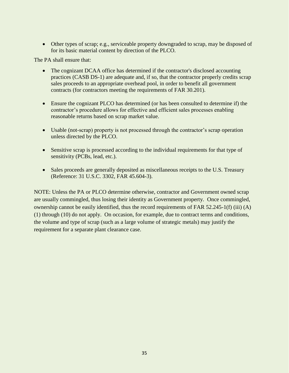• Other types of scrap; e.g., serviceable property downgraded to scrap, may be disposed of for its basic material content by direction of the PLCO.

The PA shall ensure that:

- The cognizant DCAA office has determined if the contractor's disclosed accounting practices (CASB DS-1) are adequate and, if so, that the contractor properly credits scrap sales proceeds to an appropriate overhead pool, in order to benefit all government contracts (for contractors meeting the requirements of FAR 30.201).
- Ensure the cognizant PLCO has determined (or has been consulted to determine if) the contractor's procedure allows for effective and efficient sales processes enabling reasonable returns based on scrap market value.
- Usable (not-scrap) property is not processed through the contractor's scrap operation unless directed by the PLCO.
- Sensitive scrap is processed according to the individual requirements for that type of sensitivity (PCBs, lead, etc.).
- Sales proceeds are generally deposited as miscellaneous receipts to the U.S. Treasury (Reference: 31 U.S.C. 3302, FAR 45.604-3).

NOTE: Unless the PA or PLCO determine otherwise, contractor and Government owned scrap are usually commingled, thus losing their identity as Government property. Once commingled, ownership cannot be easily identified, thus the record requirements of FAR 52.245-1(f) (iii) (A) (1) through (10) do not apply. On occasion, for example, due to contract terms and conditions, the volume and type of scrap (such as a large volume of strategic metals) may justify the requirement for a separate plant clearance case.